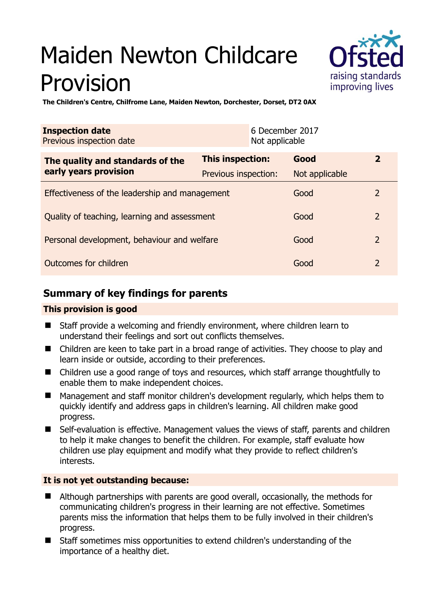# Maiden Newton Childcare Provision



**The Children's Centre, Chilfrome Lane, Maiden Newton, Dorchester, Dorset, DT2 0AX** 

| <b>Inspection date</b><br>Previous inspection date        | Not applicable          | 6 December 2017 |                |
|-----------------------------------------------------------|-------------------------|-----------------|----------------|
| The quality and standards of the<br>early years provision | <b>This inspection:</b> | Good            | $\mathbf{2}$   |
|                                                           | Previous inspection:    | Not applicable  |                |
| Effectiveness of the leadership and management            |                         | Good            | 2              |
| Quality of teaching, learning and assessment              |                         | Good            | $\overline{2}$ |
| Personal development, behaviour and welfare               |                         | Good            | $\overline{2}$ |
| Outcomes for children                                     |                         | Good            | $\overline{2}$ |

## **Summary of key findings for parents**

## **This provision is good**

- Staff provide a welcoming and friendly environment, where children learn to understand their feelings and sort out conflicts themselves.
- Children are keen to take part in a broad range of activities. They choose to play and learn inside or outside, according to their preferences.
- Children use a good range of toys and resources, which staff arrange thoughtfully to enable them to make independent choices.
- Management and staff monitor children's development regularly, which helps them to quickly identify and address gaps in children's learning. All children make good progress.
- Self-evaluation is effective. Management values the views of staff, parents and children to help it make changes to benefit the children. For example, staff evaluate how children use play equipment and modify what they provide to reflect children's interests.

#### **It is not yet outstanding because:**

- Although partnerships with parents are good overall, occasionally, the methods for communicating children's progress in their learning are not effective. Sometimes parents miss the information that helps them to be fully involved in their children's progress.
- Staff sometimes miss opportunities to extend children's understanding of the importance of a healthy diet.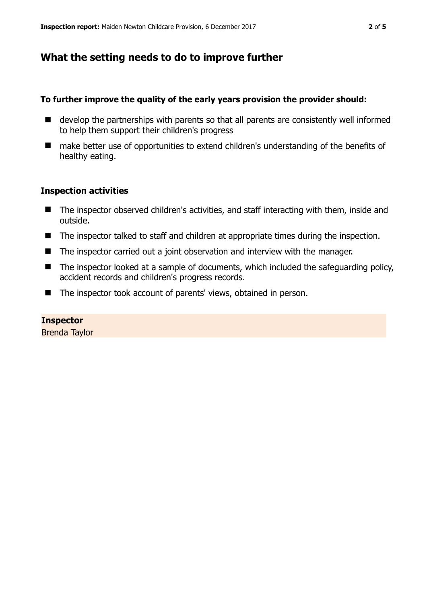## **What the setting needs to do to improve further**

#### **To further improve the quality of the early years provision the provider should:**

- develop the partnerships with parents so that all parents are consistently well informed to help them support their children's progress
- make better use of opportunities to extend children's understanding of the benefits of healthy eating.

#### **Inspection activities**

- The inspector observed children's activities, and staff interacting with them, inside and outside.
- The inspector talked to staff and children at appropriate times during the inspection.
- The inspector carried out a joint observation and interview with the manager.
- $\blacksquare$  The inspector looked at a sample of documents, which included the safeguarding policy, accident records and children's progress records.
- The inspector took account of parents' views, obtained in person.

#### **Inspector**

Brenda Taylor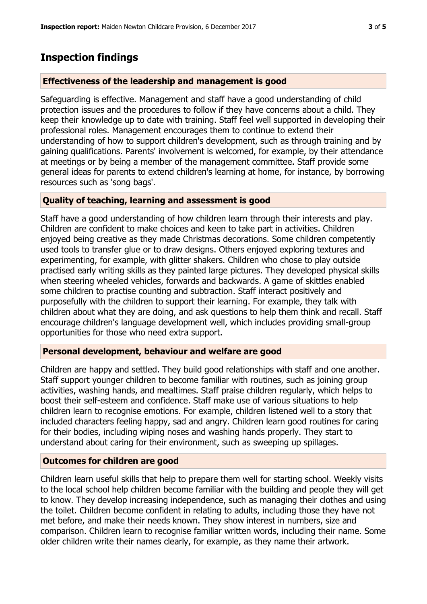# **Inspection findings**

#### **Effectiveness of the leadership and management is good**

Safeguarding is effective. Management and staff have a good understanding of child protection issues and the procedures to follow if they have concerns about a child. They keep their knowledge up to date with training. Staff feel well supported in developing their professional roles. Management encourages them to continue to extend their understanding of how to support children's development, such as through training and by gaining qualifications. Parents' involvement is welcomed, for example, by their attendance at meetings or by being a member of the management committee. Staff provide some general ideas for parents to extend children's learning at home, for instance, by borrowing resources such as 'song bags'.

#### **Quality of teaching, learning and assessment is good**

Staff have a good understanding of how children learn through their interests and play. Children are confident to make choices and keen to take part in activities. Children enjoyed being creative as they made Christmas decorations. Some children competently used tools to transfer glue or to draw designs. Others enjoyed exploring textures and experimenting, for example, with glitter shakers. Children who chose to play outside practised early writing skills as they painted large pictures. They developed physical skills when steering wheeled vehicles, forwards and backwards. A game of skittles enabled some children to practise counting and subtraction. Staff interact positively and purposefully with the children to support their learning. For example, they talk with children about what they are doing, and ask questions to help them think and recall. Staff encourage children's language development well, which includes providing small-group opportunities for those who need extra support.

#### **Personal development, behaviour and welfare are good**

Children are happy and settled. They build good relationships with staff and one another. Staff support younger children to become familiar with routines, such as joining group activities, washing hands, and mealtimes. Staff praise children regularly, which helps to boost their self-esteem and confidence. Staff make use of various situations to help children learn to recognise emotions. For example, children listened well to a story that included characters feeling happy, sad and angry. Children learn good routines for caring for their bodies, including wiping noses and washing hands properly. They start to understand about caring for their environment, such as sweeping up spillages.

## **Outcomes for children are good**

Children learn useful skills that help to prepare them well for starting school. Weekly visits to the local school help children become familiar with the building and people they will get to know. They develop increasing independence, such as managing their clothes and using the toilet. Children become confident in relating to adults, including those they have not met before, and make their needs known. They show interest in numbers, size and comparison. Children learn to recognise familiar written words, including their name. Some older children write their names clearly, for example, as they name their artwork.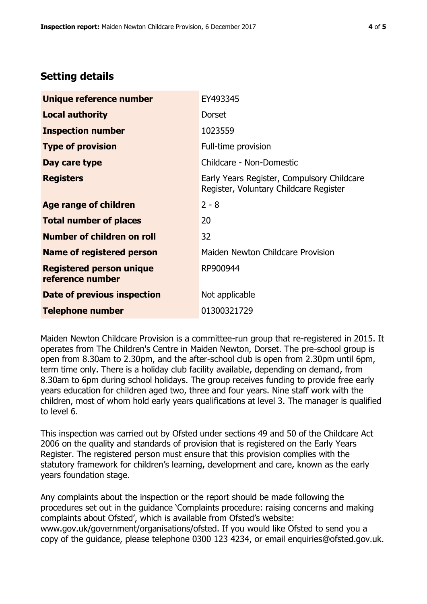## **Setting details**

| Unique reference number                             | EY493345                                                                             |  |
|-----------------------------------------------------|--------------------------------------------------------------------------------------|--|
| <b>Local authority</b>                              | <b>Dorset</b>                                                                        |  |
| <b>Inspection number</b>                            | 1023559                                                                              |  |
| <b>Type of provision</b>                            | Full-time provision                                                                  |  |
| Day care type                                       | Childcare - Non-Domestic                                                             |  |
| <b>Registers</b>                                    | Early Years Register, Compulsory Childcare<br>Register, Voluntary Childcare Register |  |
| Age range of children                               | $2 - 8$                                                                              |  |
| <b>Total number of places</b>                       | 20                                                                                   |  |
| Number of children on roll                          | 32                                                                                   |  |
| <b>Name of registered person</b>                    | Maiden Newton Childcare Provision                                                    |  |
| <b>Registered person unique</b><br>reference number | RP900944                                                                             |  |
| Date of previous inspection                         | Not applicable                                                                       |  |
| <b>Telephone number</b>                             | 01300321729                                                                          |  |

Maiden Newton Childcare Provision is a committee-run group that re-registered in 2015. It operates from The Children's Centre in Maiden Newton, Dorset. The pre-school group is open from 8.30am to 2.30pm, and the after-school club is open from 2.30pm until 6pm, term time only. There is a holiday club facility available, depending on demand, from 8.30am to 6pm during school holidays. The group receives funding to provide free early years education for children aged two, three and four years. Nine staff work with the children, most of whom hold early years qualifications at level 3. The manager is qualified to level 6.

This inspection was carried out by Ofsted under sections 49 and 50 of the Childcare Act 2006 on the quality and standards of provision that is registered on the Early Years Register. The registered person must ensure that this provision complies with the statutory framework for children's learning, development and care, known as the early years foundation stage.

Any complaints about the inspection or the report should be made following the procedures set out in the guidance 'Complaints procedure: raising concerns and making complaints about Ofsted', which is available from Ofsted's website: www.gov.uk/government/organisations/ofsted. If you would like Ofsted to send you a copy of the guidance, please telephone 0300 123 4234, or email enquiries@ofsted.gov.uk.